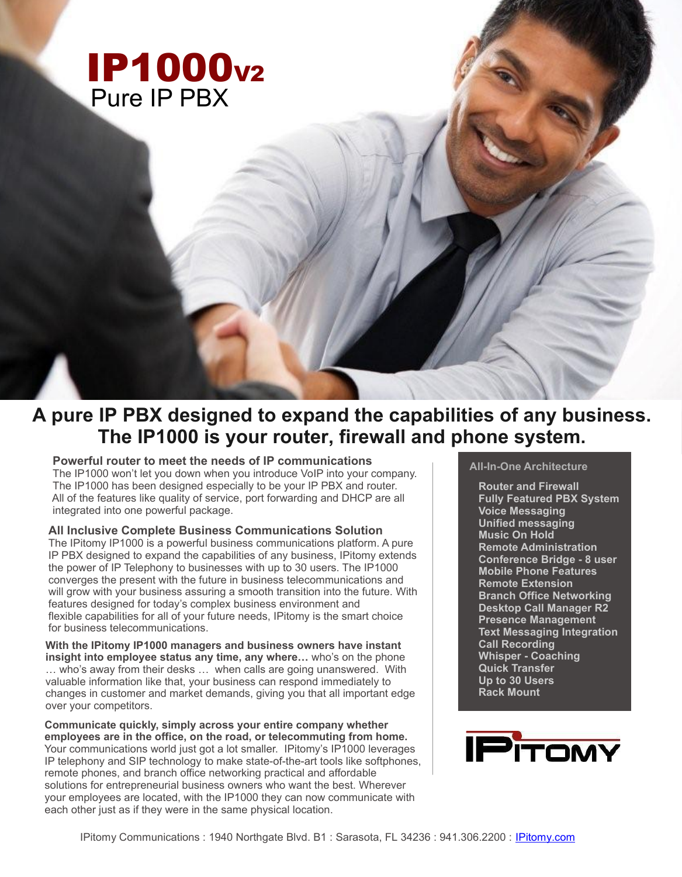# **IP1000**<sub>v2</sub> Pure IP PBX

# **A pure IP PBX designed to expand the capabilities of any business. The IP1000 is your router, firewall and phone system.**

## **Powerful router to meet the needs of IP communications**

The IP1000 won't let you down when you introduce VoIP into your company. The IP1000 has been designed especially to be your IP PBX and router. All of the features like quality of service, port forwarding and DHCP are all integrated into one powerful package.

### **All Inclusive Complete Business Communications Solution**

The IPitomy IP1000 is a powerful business communications platform. A pure IP PBX designed to expand the capabilities of any business, IPitomy extends the power of IP Telephony to businesses with up to 30 users. The IP1000 converges the present with the future in business telecommunications and will grow with your business assuring a smooth transition into the future. With features designed for today's complex business environment and flexible capabilities for all of your future needs, IPitomy is the smart choice for business telecommunications.

**With the IPitomy IP1000 managers and business owners have instant insight into employee status any time, any where…** who's on the phone … who's away from their desks … when calls are going unanswered. With valuable information like that, your business can respond immediately to changes in customer and market demands, giving you that all important edge over your competitors.

**Communicate quickly, simply across your entire company whether employees are in the office, on the road, or telecommuting from home.** Your communications world just got a lot smaller. IPitomy's IP1000 leverages IP telephony and SIP technology to make state-of-the-art tools like softphones, remote phones, and branch office networking practical and affordable solutions for entrepreneurial business owners who want the best. Wherever your employees are located, with the IP1000 they can now communicate with each other just as if they were in the same physical location.

## **All-In-One Architecture**

**Router and Firewall Fully Featured PBX System Voice Messaging Unified messaging Music On Hold Remote Administration Conference Bridge - 8 user Mobile Phone Features Remote Extension Branch Office Networking Desktop Call Manager R2 Presence Management Text Messaging Integration Call Recording Whisper - Coaching Quick Transfer Up to 30 Users Rack Mount**